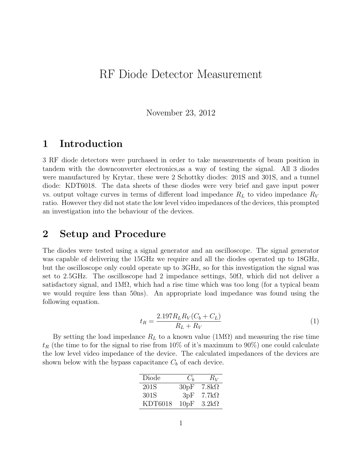# RF Diode Detector Measurement

November 23, 2012

## 1 Introduction

3 RF diode detectors were purchased in order to take measurements of beam position in tandem with the downconverter electronics,as a way of testing the signal. All 3 diodes were manufactured by Krytar, these were 2 Schottky diodes: 201S and 301S, and a tunnel diode: KDT6018. The data sheets of these diodes were very brief and gave input power vs. output voltage curves in terms of different load impedance  $R_L$  to video impedance  $R_V$ ratio. However they did not state the low level video impedances of the devices, this prompted an investigation into the behaviour of the devices.

#### 2 Setup and Procedure

The diodes were tested using a signal generator and an oscilloscope. The signal generator was capable of delivering the 15GHz we require and all the diodes operated up to 18GHz, but the oscilloscope only could operate up to 3GHz, so for this investigation the signal was set to 2.5GHz. The oscilloscope had 2 impedance settings,  $50\Omega$ , which did not deliver a satisfactory signal, and  $1\text{M}\Omega$ , which had a rise time which was too long (for a typical beam we would require less than 50ns). An appropriate load impedance was found using the following equation.

$$
t_R = \frac{2.197 R_L R_V (C_b + C_L)}{R_L + R_V} \tag{1}
$$

By setting the load impedance  $R_L$  to a known value (1M $\Omega$ ) and measuring the rise time  $t_R$  (the time to for the signal to rise from 10% of it's maximum to 90%) one could calculate the low level video impedance of the device. The calculated impedances of the devices are shown below with the bypass capacitance  $C_b$  of each device.

| Diode   | $C_h$ | $R_V$        |
|---------|-------|--------------|
| 201S    | 30pF  | $7.8k\Omega$ |
| 301S    | 3pF   | $7.7k\Omega$ |
| KDT6018 | 10pF  | $3.2k\Omega$ |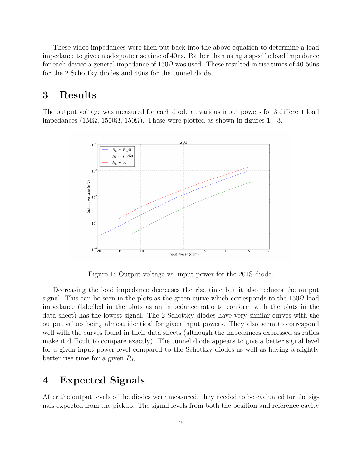These video impedances were then put back into the above equation to determine a load impedance to give an adequate rise time of 40ns. Rather than using a specific load impedance for each device a general impedance of  $150\Omega$  was used. These resulted in rise times of 40-50ns for the 2 Schottky diodes and 40ns for the tunnel diode.

## 3 Results

The output voltage was measured for each diode at various input powers for 3 different load impedances (1MΩ, 1500Ω, 150Ω). These were plotted as shown in figures 1 - 3.



Figure 1: Output voltage vs. input power for the 201S diode.

Decreasing the load impedance decreases the rise time but it also reduces the output signal. This can be seen in the plots as the green curve which corresponds to the  $150\Omega$  load impedance (labelled in the plots as an impedance ratio to conform with the plots in the data sheet) has the lowest signal. The 2 Schottky diodes have very similar curves with the output values being almost identical for given input powers. They also seem to correspond well with the curves found in their data sheets (although the impedances expressed as ratios make it difficult to compare exactly). The tunnel diode appears to give a better signal level for a given input power level compared to the Schottky diodes as well as having a slightly better rise time for a given  $R_L$ .

## 4 Expected Signals

After the output levels of the diodes were measured, they needed to be evaluated for the signals expected from the pickup. The signal levels from both the position and reference cavity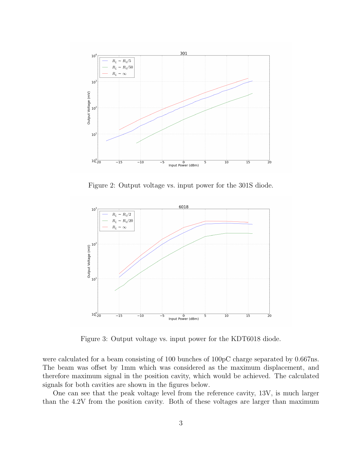

Figure 2: Output voltage vs. input power for the 301S diode.



Figure 3: Output voltage vs. input power for the KDT6018 diode.

were calculated for a beam consisting of 100 bunches of 100pC charge separated by 0.667ns. The beam was offset by 1mm which was considered as the maximum displacement, and therefore maximum signal in the position cavity, which would be achieved. The calculated signals for both cavities are shown in the figures below.

One can see that the peak voltage level from the reference cavity, 13V, is much larger than the 4.2V from the position cavity. Both of these voltages are larger than maximum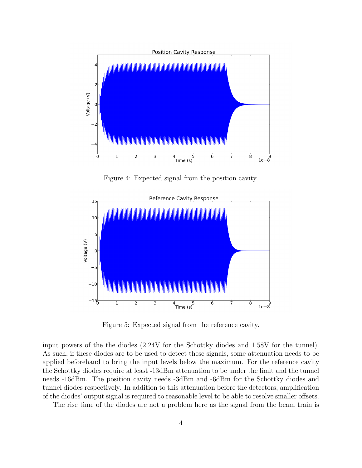

Figure 4: Expected signal from the position cavity.



Figure 5: Expected signal from the reference cavity.

input powers of the the diodes (2.24V for the Schottky diodes and 1.58V for the tunnel). As such, if these diodes are to be used to detect these signals, some attenuation needs to be applied beforehand to bring the input levels below the maximum. For the reference cavity the Schottky diodes require at least -13dBm attenuation to be under the limit and the tunnel needs -16dBm. The position cavity needs -3dBm and -6dBm for the Schottky diodes and tunnel diodes respectively. In addition to this attenuation before the detectors, amplification of the diodes' output signal is required to reasonable level to be able to resolve smaller offsets.

The rise time of the diodes are not a problem here as the signal from the beam train is